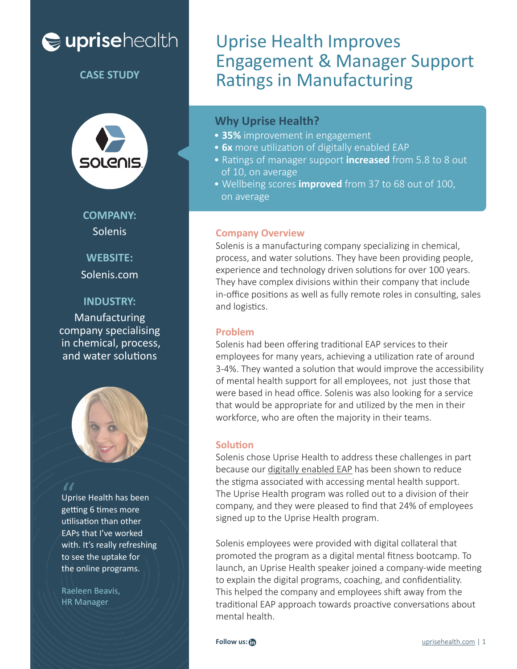# euprisehealth



**COMPANY:** Solenis

**WEBSITE:**

Solenis.com

### **INDUSTRY:**

Manufacturing company specialising in chemical, process, and water solutions



Uprise Health has been getting 6 times more utilisation than other EAPs that I've worked with. It's really refreshing to see the uptake for the online programs. "<br>Upr<br>gett

Raeleen Beavis, HR Manager

## Uprise Health Improves Engagement & Manager Support Ratings in Manufacturing **CASE STUDY**

### **Why Uprise Health?**

- **35%** improvement in engagement
- **6x** more utilization of digitally enabled EAP
- Ratings of manager support **increased** from 5.8 to 8 out of 10, on average
- Wellbeing scores **improved** from 37 to 68 out of 100, on average

### **Company Overview**

Solenis is a manufacturing company specializing in chemical, process, and water solutions. They have been providing people, experience and technology driven solutions for over 100 years. They have complex divisions within their company that include in-office positions as well as fully remote roles in consulting, sales and logistics.

#### **Problem**

Solenis had been offering traditional EAP services to their employees for many years, achieving a utilization rate of around 3-4%. They wanted a solution that would improve the accessibility of mental health support for all employees, not just those that were based in head office. Solenis was also looking for a service that would be appropriate for and utilized by the men in their workforce, who are often the majority in their teams.

#### **Solution**

Solenis chose Uprise Health to address these challenges in part because our digitally enabled EAP has been shown to reduce the stigma associated with accessing mental health support. The Uprise Health program was rolled out to a division of their company, and they were pleased to find that 24% of employees signed up to the Uprise Health program.

Solenis employees were provided with digital collateral that promoted the program as a digital mental fitness bootcamp. To launch, an Uprise Health speaker joined a company-wide meeting to explain the digital programs, coaching, and confidentiality. This helped the company and employees shift away from the traditional EAP approach towards proactive conversations about mental health.